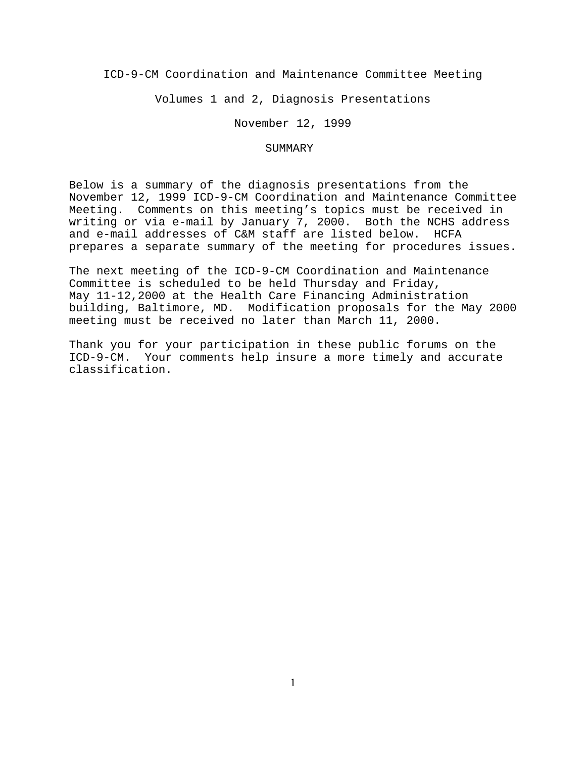ICD-9-CM Coordination and Maintenance Committee Meeting

Volumes 1 and 2, Diagnosis Presentations

November 12, 1999

## SUMMARY

Below is a summary of the diagnosis presentations from the November 12, 1999 ICD-9-CM Coordination and Maintenance Committee Meeting. Comments on this meeting's topics must be received in writing or via e-mail by January 7, 2000. Both the NCHS address and e-mail addresses of C&M staff are listed below. HCFA prepares a separate summary of the meeting for procedures issues.

The next meeting of the ICD-9-CM Coordination and Maintenance Committee is scheduled to be held Thursday and Friday, May 11-12,2000 at the Health Care Financing Administration building, Baltimore, MD. Modification proposals for the May 2000 meeting must be received no later than March 11, 2000.

Thank you for your participation in these public forums on the ICD-9-CM. Your comments help insure a more timely and accurate classification.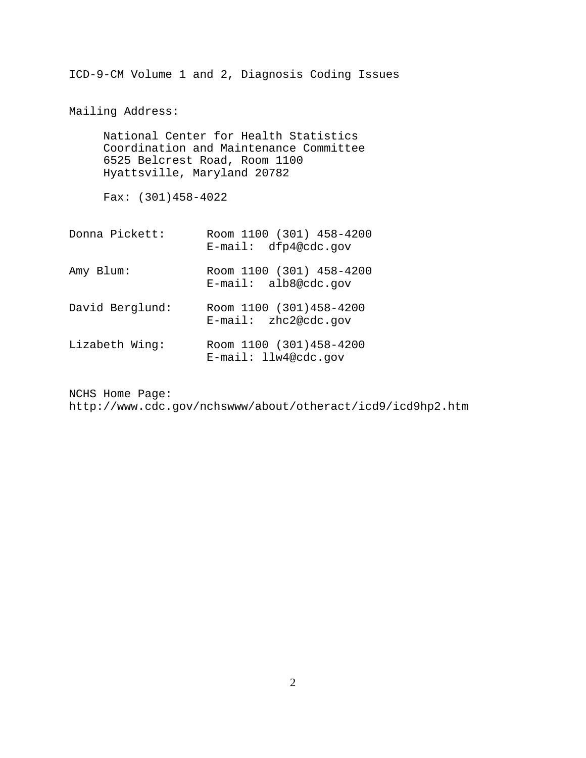ICD-9-CM Volume 1 and 2, Diagnosis Coding Issues

Mailing Address:

National Center for Health Statistics Coordination and Maintenance Committee 6525 Belcrest Road, Room 1100 Hyattsville, Maryland 20782

Fax: (301)458-4022

| Donna Pickett:  | Room 1100 (301) 458-4200<br>$E$ -mail: dfp4@cdc.qov |
|-----------------|-----------------------------------------------------|
| Amy Blum:       | Room 1100 (301) 458-4200<br>$E$ -mail: alb8@cdc.qov |
| David Berglund: | Room 1100 (301)458-4200<br>$E$ -mail: zhc2@cdc.qov  |
| Lizabeth Wing:  | Room 1100 (301)458-4200<br>E-mail: llw4@cdc.gov     |

NCHS Home Page: http://www.cdc.gov/nchswww/about/otheract/icd9/icd9hp2.htm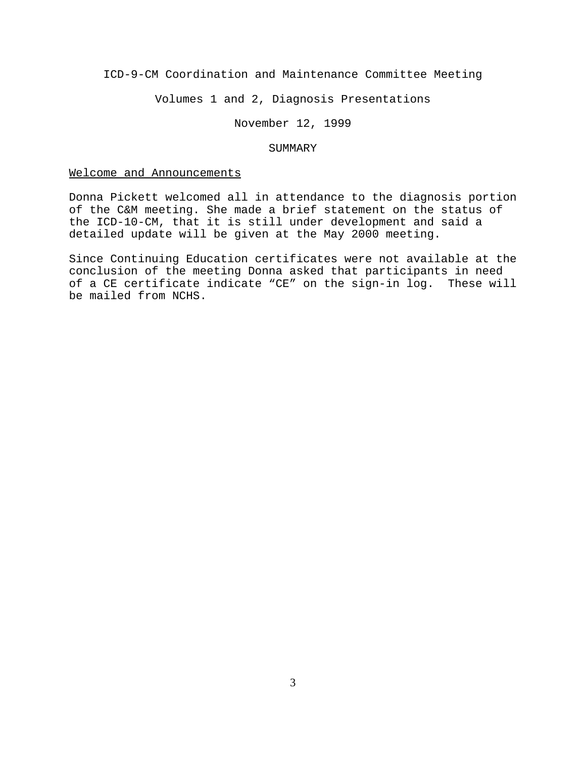ICD-9-CM Coordination and Maintenance Committee Meeting

Volumes 1 and 2, Diagnosis Presentations

November 12, 1999

#### SUMMARY

## Welcome and Announcements

Donna Pickett welcomed all in attendance to the diagnosis portion of the C&M meeting. She made a brief statement on the status of the ICD-10-CM, that it is still under development and said a detailed update will be given at the May 2000 meeting.

Since Continuing Education certificates were not available at the conclusion of the meeting Donna asked that participants in need of a CE certificate indicate "CE" on the sign-in log. These will be mailed from NCHS.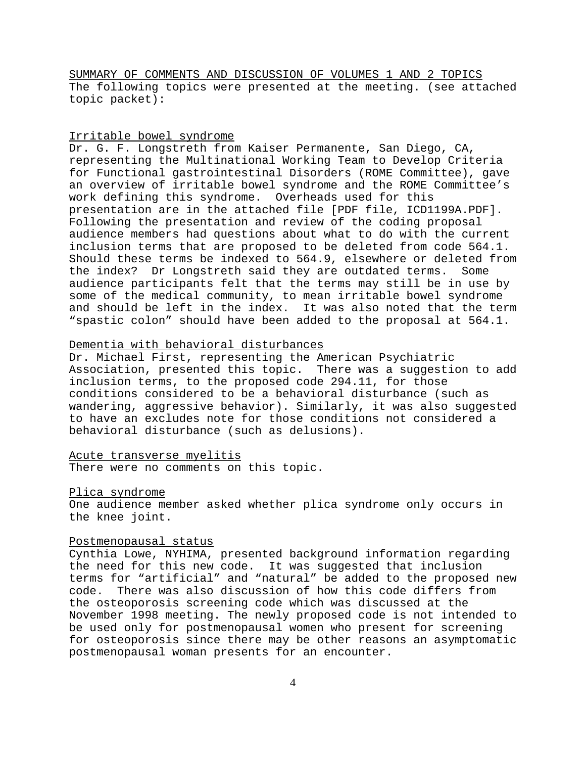SUMMARY OF COMMENTS AND DISCUSSION OF VOLUMES 1 AND 2 TOPICS The following topics were presented at the meeting. (see attached topic packet):

# Irritable bowel syndrome

Dr. G. F. Longstreth from Kaiser Permanente, San Diego, CA, representing the Multinational Working Team to Develop Criteria for Functional gastrointestinal Disorders (ROME Committee), gave an overview of irritable bowel syndrome and the ROME Committee's work defining this syndrome. Overheads used for this presentation are in the attached file [PDF file, ICD1199A.PDF]. Following the presentation and review of the coding proposal audience members had questions about what to do with the current inclusion terms that are proposed to be deleted from code 564.1. Should these terms be indexed to 564.9, elsewhere or deleted from the index? Dr Longstreth said they are outdated terms. Some audience participants felt that the terms may still be in use by some of the medical community, to mean irritable bowel syndrome and should be left in the index. It was also noted that the term "spastic colon" should have been added to the proposal at 564.1.

# Dementia with behavioral disturbances

Dr. Michael First, representing the American Psychiatric Association, presented this topic. There was a suggestion to add inclusion terms, to the proposed code 294.11, for those conditions considered to be a behavioral disturbance (such as wandering, aggressive behavior). Similarly, it was also suggested to have an excludes note for those conditions not considered a behavioral disturbance (such as delusions).

## Acute transverse myelitis

There were no comments on this topic.

### Plica syndrome

One audience member asked whether plica syndrome only occurs in the knee joint.

# Postmenopausal status

Cynthia Lowe, NYHIMA, presented background information regarding the need for this new code. It was suggested that inclusion terms for "artificial" and "natural" be added to the proposed new code. There was also discussion of how this code differs from the osteoporosis screening code which was discussed at the November 1998 meeting. The newly proposed code is not intended to be used only for postmenopausal women who present for screening for osteoporosis since there may be other reasons an asymptomatic postmenopausal woman presents for an encounter.